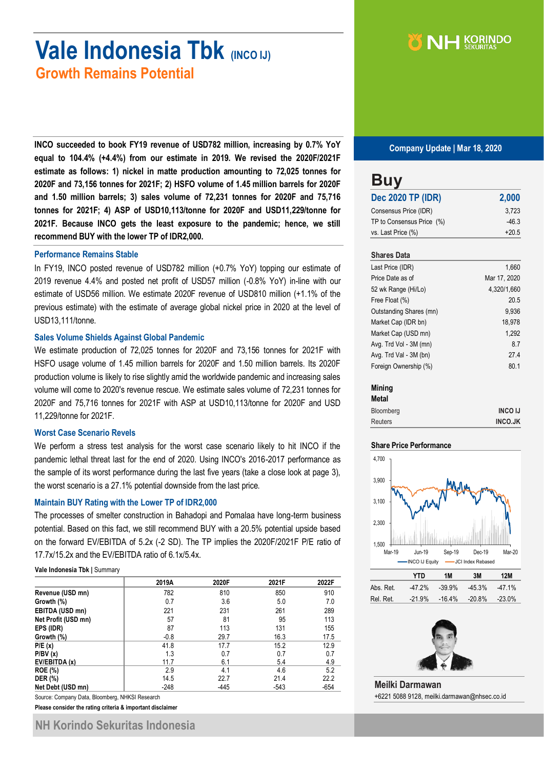# **Vale Indonesia Tbk (INCO IJ) Growth Remains Potential**

NH KORINDO

**INCO succeeded to book FY19 revenue of USD782 million, increasing by 0.7% YoY equal to 104.4% (+4.4%) from our estimate in 2019. We revised the 2020F/2021F estimate as follows: 1) nickel in matte production amounting to 72,025 tonnes for 2020F and 73,156 tonnes for 2021F; 2) HSFO volume of 1.45 million barrels for 2020F and 1.50 million barrels; 3) sales volume of 72,231 tonnes for 2020F and 75,716 tonnes for 2021F; 4) ASP of USD10,113/tonne for 2020F and USD11,229/tonne for 2021F. Because INCO gets the least exposure to the pandemic; hence, we still recommend BUY with the lower TP of IDR2,000.**

## **Performance Remains Stable**

In FY19, INCO posted revenue of USD782 million (+0.7% YoY) topping our estimate of 2019 revenue 4.4% and posted net profit of USD57 million (-0.8% YoY) in-line with our estimate of USD56 million. We estimate 2020F revenue of USD810 million (+1.1% of the previous estimate) with the estimate of average global nickel price in 2020 at the level of USD13,111/tonne.

### **Sales Volume Shields Against Global Pandemic**

We estimate production of 72,025 tonnes for 2020F and 73,156 tonnes for 2021F with HSFO usage volume of 1.45 million barrels for 2020F and 1.50 million barrels. Its 2020F production volume is likely to rise slightly amid the worldwide pandemic and increasing sales volume will come to 2020's revenue rescue. We estimate sales volume of 72,231 tonnes for 2020F and 75,716 tonnes for 2021F with ASP at USD10,113/tonne for 2020F and USD 11,229/tonne for 2021F.

#### **Worst Case Scenario Revels**

We perform a stress test analysis for the worst case scenario likely to hit INCO if the pandemic lethal threat last for the end of 2020. Using INCO's 2016-2017 performance as the sample of its worst performance during the last five years (take a close look at page 3), the worst scenario is a 27.1% potential downside from the last price.

### **Maintain BUY Rating with the Lower TP of IDR2,000**

The processes of smelter construction in Bahadopi and Pomalaa have long-term business potential. Based on this fact, we still recommend BUY with a 20.5% potential upside based on the forward EV/EBITDA of 5.2x (-2 SD). The TP implies the 2020F/2021F P/E ratio of 17.7x/15.2x and the EV/EBITDA ratio of 6.1x/5.4x.

**Vale Indonesia Tbk |** Summary

|                     | 2019A  | 2020F  | 2021F  | 2022F  |
|---------------------|--------|--------|--------|--------|
| Revenue (USD mn)    | 782    | 810    | 850    | 910    |
| Growth (%)          | 0.7    | 3.6    | 5.0    | 7.0    |
| EBITDA (USD mn)     | 221    | 231    | 261    | 289    |
| Net Profit (USD mn) | 57     | 81     | 95     | 113    |
| EPS (IDR)           | 87     | 113    | 131    | 155    |
| Growth (%)          | $-0.8$ | 29.7   | 16.3   | 17.5   |
| P/E(x)              | 41.8   | 17.7   | 15.2   | 12.9   |
| P/BV(x)             | 1.3    | 0.7    | 0.7    | 0.7    |
| EV/EBITDA (x)       | 11.7   | 6.1    | 5.4    | 4.9    |
| <b>ROE (%)</b>      | 2.9    | 4.1    | 4.6    | 5.2    |
| <b>DER</b> (%)      | 14.5   | 22.7   | 21.4   | 22.2   |
| Net Debt (USD mn)   | $-248$ | $-445$ | $-543$ | $-654$ |

Source: Company Data, Bloomberg, NHKSI Research

**Please consider the rating criteria & important disclaimer**

#### **Company Update | Mar 18, 2020**

| <b>Dec 2020 TP (IDR)</b>  | 2,000   |
|---------------------------|---------|
| Consensus Price (IDR)     | 3,723   |
| TP to Consensus Price (%) | $-46.3$ |
| vs. Last Price (%)        | $+20.5$ |

| Last Price (IDR)        | 1,660        |
|-------------------------|--------------|
| Price Date as of        | Mar 17, 2020 |
| 52 wk Range (Hi/Lo)     | 4,320/1,660  |
| Free Float (%)          | 20.5         |
| Outstanding Shares (mn) | 9.936        |
| Market Cap (IDR bn)     | 18.978       |
| Market Cap (USD mn)     | 1,292        |
| Avg. Trd Vol - 3M (mn)  | 8.7          |
| Avg. Trd Val - 3M (bn)  | 27.4         |
| Foreign Ownership (%)   | 80.1         |

## **Mining**

| <b>Metal</b>     |                |
|------------------|----------------|
| <b>Bloomberg</b> | <b>INCO IJ</b> |
| <b>Reuters</b>   | <b>INCO.JK</b> |

#### **Share Price Performance**



|           | YID       | 1M        | 3M     | 12M    |
|-----------|-----------|-----------|--------|--------|
| Abs. Ret. | $-47.2\%$ | $-39.9\%$ | -45.3% | -47.1% |
| Rel. Ret. | $-21.9%$  | $-16.4\%$ | -20.8% | -23.0% |



**Meilki Darmawan** +6221 5088 9128, meilki.darmawan@nhsec.co.id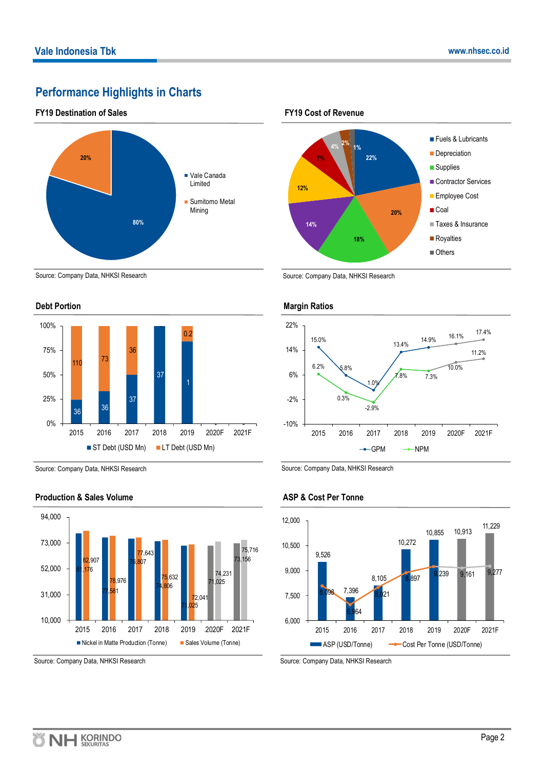# **Performance Highlights in Charts**

## **FY19 Destination of Sales**



## Source: Company Data, NHKSI Research





Source: Company Data, NHKSI Research



## **Production & Sales Volume**





Source: Company Data, NHKSI Research



Source: Company Data, NHKSI Research

## **ASP & Cost Per Tonne**



Source: Company Data, NHKSI Research

Source: Company Data, NHKSI Research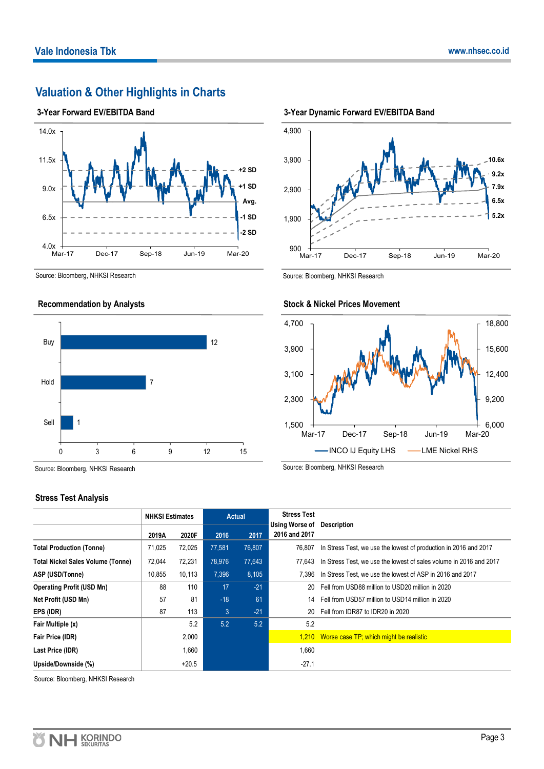# **Valuation & Other Highlights in Charts**

## **3-Year Forward EV/EBITDA Band**



Source: Bloomberg, NHKSI Research





Source: Bloomberg, NHKSI Research

## **Stress Test Analysis**



**<sup>3-</sup>Year Dynamic Forward EV/EBITDA Band**

Source: Bloomberg, NHKSI Research



# **Stock & Nickel Prices Movement**

Source: Bloomberg, NHKSI Research

|                                          | <b>NHKSI Estimates</b> |         |        | <b>Actual</b> | <b>Stress Test</b>                                 |                                                                    |
|------------------------------------------|------------------------|---------|--------|---------------|----------------------------------------------------|--------------------------------------------------------------------|
|                                          | 2019A                  | 2020F   | 2016   | 2017          | <b>Using Worse of Description</b><br>2016 and 2017 |                                                                    |
| <b>Total Production (Tonne)</b>          | 71,025                 | 72,025  | 77,581 | 76,807        | 76.807                                             | In Stress Test, we use the lowest of production in 2016 and 2017   |
| <b>Total Nickel Sales Volume (Tonne)</b> | 72,044                 | 72,231  | 78,976 | 77,643        | 77.643                                             | In Stress Test, we use the lowest of sales volume in 2016 and 2017 |
| ASP (USD/Tonne)                          | 10,855                 | 10,113  | 7.396  | 8,105         | 7.396                                              | In Stress Test, we use the lowest of ASP in 2016 and 2017          |
| <b>Operating Profit (USD Mn)</b>         | 88                     | 110     | 17     | $-21$         | 20                                                 | Fell from USD88 million to USD20 million in 2020                   |
| Net Profit (USD Mn)                      | 57                     | 81      | $-18$  | 61            | 14                                                 | Fell from USD57 million to USD14 million in 2020                   |
| EPS (IDR)                                | 87                     | 113     | 3      | $-21$         | 20                                                 | Fell from IDR87 to IDR20 in 2020                                   |
| Fair Multiple (x)                        |                        | 5.2     | 5.2    | 5.2           | 5.2                                                |                                                                    |
| Fair Price (IDR)                         |                        | 2,000   |        |               |                                                    | 1.210 Worse case TP; which might be realistic                      |
| Last Price (IDR)                         |                        | 1,660   |        |               | 1,660                                              |                                                                    |
| Upside/Downside (%)                      |                        | $+20.5$ |        |               | $-27.1$                                            |                                                                    |

Source: Bloomberg, NHKSI Research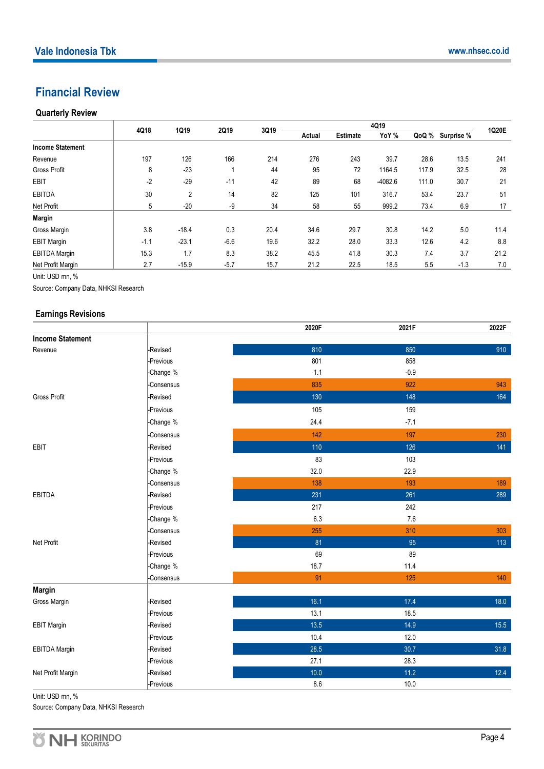# **Financial Review**

# **Quarterly Review**

|                         | 4Q18   | 1Q19           | 2Q19   | 3Q19 | 4Q19   |                 |           |       |            | 1Q20E |
|-------------------------|--------|----------------|--------|------|--------|-----------------|-----------|-------|------------|-------|
|                         |        |                |        |      | Actual | <b>Estimate</b> | YoY %     | QoQ % | Surprise % |       |
| <b>Income Statement</b> |        |                |        |      |        |                 |           |       |            |       |
| Revenue                 | 197    | 126            | 166    | 214  | 276    | 243             | 39.7      | 28.6  | 13.5       | 241   |
| <b>Gross Profit</b>     | 8      | $-23$          |        | 44   | 95     | 72              | 1164.5    | 117.9 | 32.5       | 28    |
| <b>EBIT</b>             | $-2$   | $-29$          | $-11$  | 42   | 89     | 68              | $-4082.6$ | 111.0 | 30.7       | 21    |
| <b>EBITDA</b>           | 30     | $\overline{2}$ | 14     | 82   | 125    | 101             | 316.7     | 53.4  | 23.7       | 51    |
| Net Profit              | 5      | $-20$          | -9     | 34   | 58     | 55              | 999.2     | 73.4  | 6.9        | 17    |
| <b>Margin</b>           |        |                |        |      |        |                 |           |       |            |       |
| Gross Margin            | 3.8    | $-18.4$        | 0.3    | 20.4 | 34.6   | 29.7            | 30.8      | 14.2  | 5.0        | 11.4  |
| <b>EBIT Margin</b>      | $-1.1$ | $-23.1$        | $-6.6$ | 19.6 | 32.2   | 28.0            | 33.3      | 12.6  | 4.2        | 8.8   |
| <b>EBITDA Margin</b>    | 15.3   | 1.7            | 8.3    | 38.2 | 45.5   | 41.8            | 30.3      | 7.4   | 3.7        | 21.2  |
| Net Profit Margin       | 2.7    | $-15.9$        | $-5.7$ | 15.7 | 21.2   | 22.5            | 18.5      | 5.5   | $-1.3$     | 7.0   |

Unit: USD mn, %

Source: Company Data, NHKSI Research

## **Earnings Revisions**

|                         |            | 2020F | 2021F  | 2022F  |
|-------------------------|------------|-------|--------|--------|
| <b>Income Statement</b> |            |       |        |        |
| Revenue                 | -Revised   | 810   | 850    | 910    |
|                         | -Previous  | 801   | 858    |        |
|                         | -Change %  | 1.1   | $-0.9$ |        |
|                         | -Consensus | 835   | 922    | 943    |
| <b>Gross Profit</b>     | -Revised   | 130   | 148    | 164    |
|                         | -Previous  | 105   | 159    |        |
|                         | -Change %  | 24.4  | $-7.1$ |        |
|                         | -Consensus | 142   | 197    | 230    |
| EBIT                    | -Revised   | 110   | 126    | 141    |
|                         | -Previous  | 83    | 103    |        |
|                         | -Change %  | 32.0  | 22.9   |        |
|                         | -Consensus | 138   | 193    | 189    |
| <b>EBITDA</b>           | -Revised   | 231   | 261    | 289    |
|                         | -Previous  | 217   | 242    |        |
|                         | -Change %  | 6.3   | 7.6    |        |
|                         | -Consensus | 255   | 310    | 303    |
| Net Profit              | -Revised   | 81    | 95     | $113$  |
|                         | -Previous  | 69    | 89     |        |
|                         | -Change %  | 18.7  | 11.4   |        |
|                         | -Consensus | 91    | 125    | 140    |
| <b>Margin</b>           |            |       |        |        |
| Gross Margin            | -Revised   | 16.1  | 17.4   | 18.0   |
|                         | -Previous  | 13.1  | 18.5   |        |
| <b>EBIT Margin</b>      | -Revised   | 13.5  | 14.9   | 15.5   |
|                         | -Previous  | 10.4  | 12.0   |        |
| <b>EBITDA Margin</b>    | -Revised   | 28.5  | 30.7   | 31.8   |
|                         | -Previous  | 27.1  | 28.3   |        |
| Net Profit Margin       | -Revised   | 10.0  | $11.2$ | $12.4$ |
|                         | -Previous  | 8.6   | 10.0   |        |

Unit: USD mn, %

Source: Company Data, NHKSI Research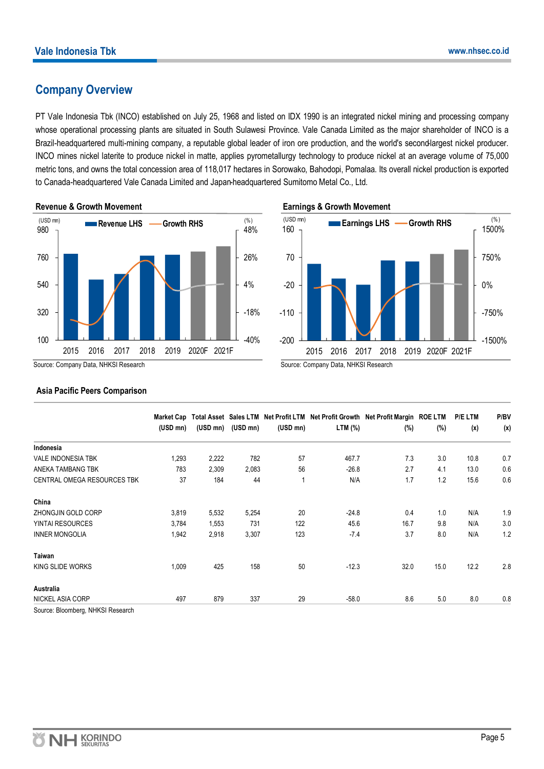# **Company Overview**

PT Vale Indonesia Tbk (INCO) established on July 25, 1968 and listed on IDX 1990 is an integrated nickel mining and processing company whose operational processing plants are situated in South Sulawesi Province. Vale Canada Limited as the major shareholder of INCO is a Brazil-headquartered multi-mining company, a reputable global leader of iron ore production, and the world's second-largest nickel producer. INCO mines nickel laterite to produce nickel in matte, applies pyrometallurgy technology to produce nickel at an average volume of 75,000 metric tons, and owns the total concession area of 118,017 hectares in Sorowako, Bahodopi, Pomalaa. Its overall nickel production is exported to Canada-headquartered Vale Canada Limited and Japan-headquartered Sumitomo Metal Co., Ltd.



**Earnings & Growth Movement**



# **Asia Pacific Peers Comparison**

|                                    | <b>Market Cap</b> |          |          |             | Total Asset Sales LTM Net Profit LTM Net Profit Growth Net Profit Margin ROE LTM |      |      | <b>P/ELTM</b> | P/BV |
|------------------------------------|-------------------|----------|----------|-------------|----------------------------------------------------------------------------------|------|------|---------------|------|
|                                    | $(USD \, mn)$     | (USD mn) | (USD mn) | $(USD\ mn)$ | LTM (%)                                                                          | (%)  | (%)  | (x)           | (x)  |
| Indonesia                          |                   |          |          |             |                                                                                  |      |      |               |      |
| <b>VALE INDONESIA TBK</b>          | 1,293             | 2,222    | 782      | 57          | 467.7                                                                            | 7.3  | 3.0  | 10.8          | 0.7  |
| ANEKA TAMBANG TBK                  | 783               | 2,309    | 2,083    | 56          | $-26.8$                                                                          | 2.7  | 4.1  | 13.0          | 0.6  |
| <b>CENTRAL OMEGA RESOURCES TBK</b> | 37                | 184      | 44       |             | N/A                                                                              | 1.7  | 1.2  | 15.6          | 0.6  |
| China                              |                   |          |          |             |                                                                                  |      |      |               |      |
| ZHONGJIN GOLD CORP                 | 3,819             | 5,532    | 5,254    | 20          | $-24.8$                                                                          | 0.4  | 1.0  | N/A           | 1.9  |
| <b>YINTAI RESOURCES</b>            | 3,784             | 1,553    | 731      | 122         | 45.6                                                                             | 16.7 | 9.8  | N/A           | 3.0  |
| <b>INNER MONGOLIA</b>              | 1,942             | 2,918    | 3,307    | 123         | $-7.4$                                                                           | 3.7  | 8.0  | N/A           | 1.2  |
| <b>Taiwan</b>                      |                   |          |          |             |                                                                                  |      |      |               |      |
| KING SLIDE WORKS                   | 1,009             | 425      | 158      | 50          | $-12.3$                                                                          | 32.0 | 15.0 | 12.2          | 2.8  |
| Australia                          |                   |          |          |             |                                                                                  |      |      |               |      |
| NICKEL ASIA CORP                   | 497               | 879      | 337      | 29          | $-58.0$                                                                          | 8.6  | 5.0  | 8.0           | 0.8  |

Source: Bloomberg, NHKSI Research

Source: Company Data, NHKSI Research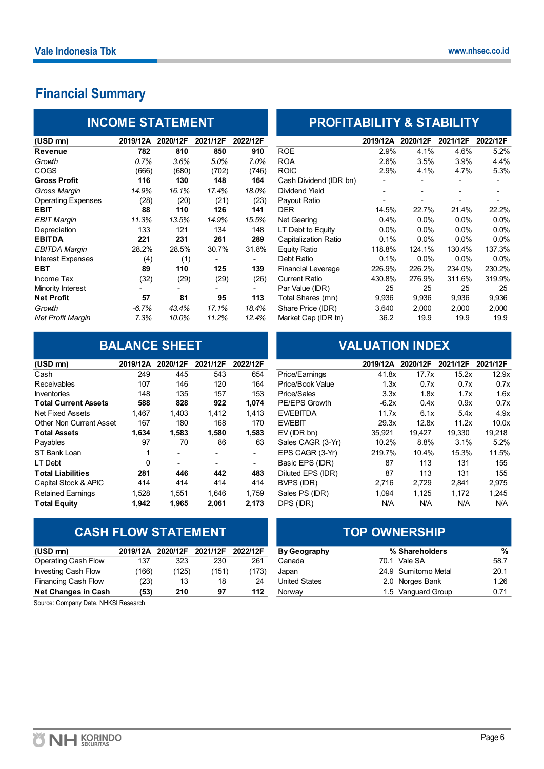# **Financial Summary**

|                           | <b>INCOME STATEMENT</b> |          |          |          | <b>PROFITABILITY &amp; STABILITY</b> |                          |          |          |          |
|---------------------------|-------------------------|----------|----------|----------|--------------------------------------|--------------------------|----------|----------|----------|
| (USD mn)                  | 2019/12A                | 2020/12F | 2021/12F | 2022/12F |                                      | 2019/12A                 | 2020/12F | 2021/12F | 2022/12F |
| <b>Revenue</b>            | 782                     | 810      | 850      | 910      | <b>ROE</b>                           | 2.9%                     | 4.1%     | 4.6%     | 5.2%     |
| Growth                    | 0.7%                    | 3.6%     | 5.0%     | 7.0%     | <b>ROA</b>                           | 2.6%                     | 3.5%     | 3.9%     | 4.4%     |
| <b>COGS</b>               | (666)                   | (680)    | (702)    | (746)    | <b>ROIC</b>                          | 2.9%                     | 4.1%     | 4.7%     | 5.3%     |
| <b>Gross Profit</b>       | 116                     | 130      | 148      | 164      | Cash Dividend (IDR bn)               |                          |          |          |          |
| Gross Margin              | 14.9%                   | 16.1%    | 17.4%    | 18.0%    | Dividend Yield                       | $\overline{\phantom{0}}$ |          |          |          |
| <b>Operating Expenses</b> | (28)                    | (20)     | (21)     | (23)     | Payout Ratio                         |                          |          |          |          |
| <b>EBIT</b>               | 88                      | 110      | 126      | 141      | <b>DER</b>                           | 14.5%                    | 22.7%    | 21.4%    | 22.2%    |
| <b>EBIT Margin</b>        | 11.3%                   | 13.5%    | 14.9%    | 15.5%    | Net Gearing                          | 0.4%                     | 0.0%     | 0.0%     | 0.0%     |
| Depreciation              | 133                     | 121      | 134      | 148      | LT Debt to Equity                    | $0.0\%$                  | 0.0%     | 0.0%     | 0.0%     |
| <b>EBITDA</b>             | 221                     | 231      | 261      | 289      | Capitalization Ratio                 | 0.1%                     | 0.0%     | $0.0\%$  | 0.0%     |
| <b>EBITDA Margin</b>      | 28.2%                   | 28.5%    | 30.7%    | 31.8%    | <b>Equity Ratio</b>                  | 118.8%                   | 124.1%   | 130.4%   | 137.3%   |
| Interest Expenses         | (4)                     | (1)      |          |          | Debt Ratio                           | 0.1%                     | 0.0%     | 0.0%     | 0.0%     |
| <b>EBT</b>                | 89                      | 110      | 125      | 139      | <b>Financial Leverage</b>            | 226.9%                   | 226.2%   | 234.0%   | 230.2%   |
| Income Tax                | (32)                    | (29)     | (29)     | (26)     | <b>Current Ratio</b>                 | 430.8%                   | 276.9%   | 311.6%   | 319.9%   |
| Minority Interest         |                         |          |          |          | Par Value (IDR)                      | 25                       | 25       | 25       | 25       |
| <b>Net Profit</b>         | 57                      | 81       | 95       | 113      | Total Shares (mn)                    | 9,936                    | 9,936    | 9,936    | 9,936    |
| Growth                    | -6.7%                   | 43.4%    | 17.1%    | 18.4%    | Share Price (IDR)                    | 3,640                    | 2,000    | 2,000    | 2,000    |
| <b>Net Profit Margin</b>  | 7.3%                    | 10.0%    | 11.2%    | 12.4%    | Market Cap (IDR tn)                  | 36.2                     | 19.9     | 19.9     | 19.9     |

| (USD mn)                       | 2019/12A | 2020/12F                 | 2021/12F | 2022/12F                 |                   | 2019/12A | 2020/12F | 2021/12F | 2021/12F         |
|--------------------------------|----------|--------------------------|----------|--------------------------|-------------------|----------|----------|----------|------------------|
| Cash                           | 249      | 445                      | 543      | 654                      | Price/Earnings    | 41.8x    | 17.7x    | 15.2x    | 12.9             |
| <b>Receivables</b>             | 107      | 146                      | 120      | 164                      | Price/Book Value  | 1.3x     | 0.7x     | 0.7x     | 0.7              |
| <b>Inventories</b>             | 148      | 135                      | 157      | 153                      | Price/Sales       | 3.3x     | 1.8x     | 1.7x     | 1.6              |
| <b>Total Current Assets</b>    | 588      | 828                      | 922      | 1,074                    | PE/EPS Growth     | $-6.2x$  | 0.4x     | 0.9x     | 0.7              |
| Net Fixed Assets               | 1.467    | 1.403                    | 1.412    | 1.413                    | EV/EBITDA         | 11.7x    | 6.1x     | 5.4x     | 4.9 <sub>2</sub> |
| <b>Other Non Current Asset</b> | 167      | 180                      | 168      | 170                      | <b>EV/EBIT</b>    | 29.3x    | 12.8x    | 11.2x    | 10.0             |
| <b>Total Assets</b>            | 1,634    | 1,583                    | 1,580    | 1,583                    | $EV$ (IDR bn)     | 35.921   | 19,427   | 19.330   | 19,218           |
| Payables                       | 97       | 70                       | 86       | 63                       | Sales CAGR (3-Yr) | 10.2%    | 8.8%     | 3.1%     | 5.2%             |
| ST Bank Loan                   |          | $\overline{\phantom{0}}$ |          | $\overline{\phantom{0}}$ | EPS CAGR (3-Yr)   | 219.7%   | 10.4%    | 15.3%    | 11.5%            |
| LT Debt                        | 0        | $\overline{\phantom{a}}$ |          | ۰.                       | Basic EPS (IDR)   | 87       | 113      | 131      | 155              |
| <b>Total Liabilities</b>       | 281      | 446                      | 442      | 483                      | Diluted EPS (IDR) | 87       | 113      | 131      | 155              |
| Capital Stock & APIC           | 414      | 414                      | 414      | 414                      | BVPS (IDR)        | 2.716    | 2,729    | 2,841    | 2,975            |
| <b>Retained Earnings</b>       | 1,528    | 1.551                    | 1.646    | 1.759                    | Sales PS (IDR)    | 1,094    | 1,125    | 1,172    | 1,245            |
| <b>Total Equity</b>            | 1.942    | 1,965                    | 2.061    | 2,173                    | DPS (IDR)         | N/A      | N/A      | N/A      | N/A              |

# **CASH FLOW STATEMENT**

| (USD mn)                   | 2019/12A | 2020/12F | 2021/12F | 2022/12F | <b>By Geography</b>  |      | % Shareholders      | %    |
|----------------------------|----------|----------|----------|----------|----------------------|------|---------------------|------|
| Operating Cash Flow        | 137      | 323      | 230      | 261      | Canada               | 70.1 | Vale SA             | 58.7 |
| <b>Investing Cash Flow</b> | (166)    | (125)    | (151)    | (173)    | Japan                |      | 24.9 Sumitomo Metal | 20.1 |
| Financing Cash Flow        | (23)     | 13       | 18       | 24       | <b>United States</b> |      | 2.0 Norges Bank     | 1.26 |
| <b>Net Changes in Cash</b> | (53)     | 210      | 97       | 112      | Norway               |      | 1.5 Vanguard Group  | 0.71 |

Source: Company Data, NHKSI Research

# **INCOME STATEMENT PROFITABILITY & STABILITY**

| (USD mn)                  | 2019/12A | 2020/12F | 2021/12F | 2022/12F |                           | 2019/12A | 2020/12F       | 2021/12F | 2022/12F |
|---------------------------|----------|----------|----------|----------|---------------------------|----------|----------------|----------|----------|
| Revenue                   | 782      | 810      | 850      | 910      | <b>ROE</b>                | 2.9%     | 4.1%           | 4.6%     | 5.2%     |
| Growth                    | 0.7%     | 3.6%     | 5.0%     | 7.0%     | <b>ROA</b>                | 2.6%     | 3.5%           | 3.9%     | 4.4%     |
| COGS                      | (666)    | (680)    | (702)    | (746)    | <b>ROIC</b>               | 2.9%     | 4.1%           | 4.7%     | 5.3%     |
| Gross Profit              | 116      | 130      | 148      | 164      | Cash Dividend (IDR bn)    |          |                |          |          |
| Gross Margin              | 14.9%    | 16.1%    | 17.4%    | 18.0%    | <b>Dividend Yield</b>     |          | $\blacksquare$ |          |          |
| <b>Operating Expenses</b> | (28)     | (20)     | (21)     | (23)     | Payout Ratio              |          |                |          |          |
| EBIT                      | 88       | 110      | 126      | 141      | DER                       | 14.5%    | 22.7%          | 21.4%    | 22.2%    |
| EBIT Marqin               | 11.3%    | 13.5%    | 14.9%    | 15.5%    | Net Gearing               | 0.4%     | 0.0%           | $0.0\%$  | $0.0\%$  |
| Depreciation              | 133      | 121      | 134      | 148      | LT Debt to Equity         | $0.0\%$  | 0.0%           | $0.0\%$  | $0.0\%$  |
| EBITDA                    | 221      | 231      | 261      | 289      | Capitalization Ratio      | 0.1%     | 0.0%           | $0.0\%$  | $0.0\%$  |
| EBITDA Marqin             | 28.2%    | 28.5%    | 30.7%    | 31.8%    | Equity Ratio              | 118.8%   | 124.1%         | 130.4%   | 137.3%   |
| <b>Interest Expenses</b>  | (4)      | (1)      |          | Ξ.       | Debt Ratio                | 0.1%     | $0.0\%$        | $0.0\%$  | $0.0\%$  |
| EBT                       | 89       | 110      | 125      | 139      | <b>Financial Leverage</b> | 226.9%   | 226.2%         | 234.0%   | 230.2%   |
| Income Tax                | (32)     | (29)     | (29)     | (26)     | <b>Current Ratio</b>      | 430.8%   | 276.9%         | 311.6%   | 319.9%   |
| Minority Interest         |          |          |          |          | Par Value (IDR)           | 25       | 25             | 25       | 25       |
| Net Profit                | 57       | 81       | 95       | 113      | Total Shares (mn)         | 9,936    | 9,936          | 9,936    | 9,936    |
| Growth                    | $-6.7%$  | 43.4%    | 17.1%    | 18.4%    | Share Price (IDR)         | 3,640    | 2,000          | 2,000    | 2,000    |
| Net Profit Marqin         | 7.3%     | 10.0%    | 11.2%    | 12.4%    | Market Cap (IDR tn)       | 36.2     | 19.9           | 19.9     | 19.9     |
|                           |          |          |          |          |                           |          |                |          |          |

# **BALANCE SHEET VALUATION INDEX**

| 2019/12A                       | 2020/12F                 | 2021/12F                 | 2022/12F |                   | 2019/12A | 2020/12F | 2021/12F                                                     | 2021/12F             |
|--------------------------------|--------------------------|--------------------------|----------|-------------------|----------|----------|--------------------------------------------------------------|----------------------|
| 249                            | 445                      | 543                      | 654      | Price/Earnings    |          | 17.7x    | 15.2x                                                        | 12.9x                |
| 107                            | 146                      | 120                      | 164      | Price/Book Value  |          | 0.7x     |                                                              | 0.7x                 |
| 148                            | 135                      | 157                      | 153      | Price/Sales       |          | 1.8x     |                                                              | 1.6x                 |
| 588                            | 828                      | 922                      | 1,074    | PE/EPS Growth     |          | 0.4x     |                                                              | 0.7x                 |
| 1.467                          | 1.403                    | 1.412                    | 1.413    | EV/EBITDA         |          | 6.1x     | 5.4x                                                         | 4.9x                 |
| Other Non Current Asset<br>167 | 180                      | 168                      | 170      | EV/EBIT           |          | 12.8x    | 11.2x                                                        | 10.0x                |
| 1,634                          | 1,583                    | 1,580                    | 1,583    | $EV$ (IDR bn)     | 35.921   | 19.427   | 19.330                                                       | 19,218               |
| 97                             | 70                       | 86                       | 63       | Sales CAGR (3-Yr) | 10.2%    | 8.8%     | 3.1%                                                         | 5.2%                 |
|                                | ٠                        |                          | ٠        | EPS CAGR (3-Yr)   |          | 10.4%    | 15.3%                                                        | 11.5%                |
| 0                              | $\overline{\phantom{0}}$ | $\overline{\phantom{0}}$ | ٠        | Basic EPS (IDR)   | 87       | 113      | 131                                                          | 155                  |
| 281                            | 446                      | 442                      | 483      | Diluted EPS (IDR) | 87       | 113      | 131                                                          | 155                  |
| 414                            | 414                      | 414                      | 414      | BVPS (IDR)        | 2.716    | 2,729    | 2,841                                                        | 2,975                |
| 1,528                          | 1.551                    | 1.646                    | 1.759    | Sales PS (IDR)    | 1,094    | 1,125    | 1,172                                                        | 1,245                |
| 1.942                          | 1.965                    | 2.061                    | 2,173    | DPS (IDR)         | N/A      | N/A      | N/A                                                          | N/A                  |
|                                |                          |                          |          |                   |          |          | 41.8x<br>1.3x<br>3.3x<br>$-6.2x$<br>11.7x<br>29.3x<br>219.7% | 0.7x<br>1.7x<br>0.9x |

| <b>TOP OWNERSHIP</b> |                     |      |  |  |  |  |
|----------------------|---------------------|------|--|--|--|--|
| <b>By Geography</b>  | % Shareholders      | %    |  |  |  |  |
| Canada               | 70.1 Vale SA        | 58.7 |  |  |  |  |
| Japan                | 24.9 Sumitomo Metal | 20.1 |  |  |  |  |
| <b>United States</b> | 2.0 Norges Bank     | 1.26 |  |  |  |  |
| Norway               | 1.5 Vanguard Group  | 0.71 |  |  |  |  |